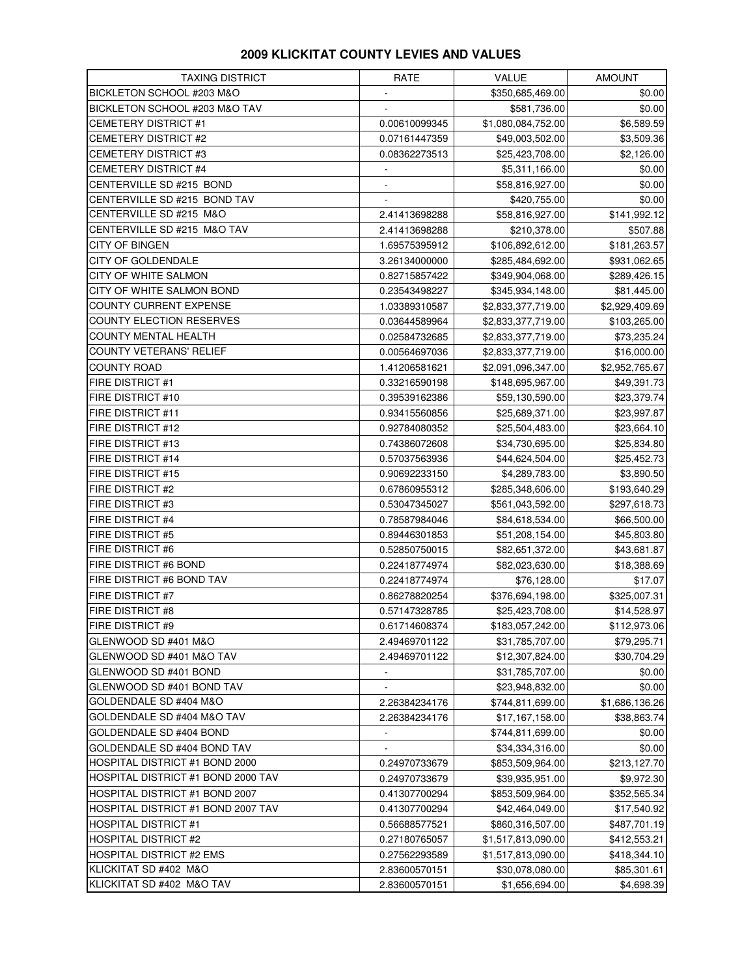## **2009 KLICKITAT COUNTY LEVIES AND VALUES**

| <b>TAXING DISTRICT</b>             | RATE                     | VALUE              | <b>AMOUNT</b>  |
|------------------------------------|--------------------------|--------------------|----------------|
| BICKLETON SCHOOL #203 M&O          | ÷                        | \$350,685,469.00   | \$0.00         |
| BICKLETON SCHOOL #203 M&O TAV      |                          | \$581,736.00       | \$0.00         |
| <b>CEMETERY DISTRICT #1</b>        | 0.00610099345            | \$1,080,084,752.00 | \$6,589.59     |
| <b>CEMETERY DISTRICT #2</b>        | 0.07161447359            | \$49,003,502.00    | \$3,509.36     |
| <b>CEMETERY DISTRICT #3</b>        | 0.08362273513            | \$25,423,708.00    | \$2,126.00     |
| <b>CEMETERY DISTRICT #4</b>        |                          | \$5,311,166.00     | \$0.00         |
| CENTERVILLE SD #215 BOND           |                          | \$58,816,927.00    | \$0.00         |
| CENTERVILLE SD #215 BOND TAV       |                          | \$420,755.00       | \$0.00         |
| CENTERVILLE SD #215 M&O            | 2.41413698288            | \$58,816,927.00    | \$141,992.12   |
| CENTERVILLE SD #215 M&O TAV        | 2.41413698288            | \$210,378.00       | \$507.88       |
| <b>CITY OF BINGEN</b>              | 1.69575395912            | \$106,892,612.00   | \$181,263.57   |
| <b>CITY OF GOLDENDALE</b>          | 3.26134000000            | \$285,484,692.00   | \$931,062.65   |
| CITY OF WHITE SALMON               | 0.82715857422            | \$349,904,068.00   | \$289,426.15   |
| CITY OF WHITE SALMON BOND          | 0.23543498227            | \$345,934,148.00   | \$81,445.00    |
| COUNTY CURRENT EXPENSE             | 1.03389310587            | \$2,833,377,719.00 | \$2,929,409.69 |
| <b>COUNTY ELECTION RESERVES</b>    | 0.03644589964            | \$2,833,377,719.00 | \$103,265.00   |
| <b>COUNTY MENTAL HEALTH</b>        | 0.02584732685            | \$2,833,377,719.00 | \$73,235.24    |
| <b>COUNTY VETERANS' RELIEF</b>     | 0.00564697036            | \$2,833,377,719.00 | \$16,000.00    |
| <b>COUNTY ROAD</b>                 | 1.41206581621            | \$2,091,096,347.00 | \$2,952,765.67 |
| <b>FIRE DISTRICT #1</b>            | 0.33216590198            | \$148,695,967.00   | \$49,391.73    |
| <b>FIRE DISTRICT #10</b>           | 0.39539162386            | \$59,130,590.00    | \$23,379.74    |
| FIRE DISTRICT #11                  | 0.93415560856            | \$25,689,371.00    | \$23,997.87    |
| FIRE DISTRICT #12                  | 0.92784080352            | \$25,504,483.00    | \$23,664.10    |
| FIRE DISTRICT #13                  | 0.74386072608            | \$34,730,695.00    | \$25,834.80    |
| <b>FIRE DISTRICT #14</b>           | 0.57037563936            | \$44,624,504.00    | \$25,452.73    |
| <b>FIRE DISTRICT #15</b>           | 0.90692233150            | \$4,289,783.00     | \$3,890.50     |
| FIRE DISTRICT #2                   | 0.67860955312            | \$285,348,606.00   | \$193,640.29   |
| <b>FIRE DISTRICT #3</b>            | 0.53047345027            | \$561,043,592.00   | \$297,618.73   |
| <b>FIRE DISTRICT #4</b>            | 0.78587984046            | \$84,618,534.00    | \$66,500.00    |
| FIRE DISTRICT #5                   | 0.89446301853            | \$51,208,154.00    | \$45,803.80    |
| <b>FIRE DISTRICT #6</b>            | 0.52850750015            | \$82,651,372.00    | \$43,681.87    |
| FIRE DISTRICT #6 BOND              | 0.22418774974            | \$82,023,630.00    | \$18,388.69    |
| FIRE DISTRICT #6 BOND TAV          | 0.22418774974            | \$76,128.00        | \$17.07        |
| FIRE DISTRICT #7                   | 0.86278820254            | \$376,694,198.00   | \$325,007.31   |
| FIRE DISTRICT #8                   | 0.57147328785            | \$25,423,708.00    | \$14,528.97    |
| FIRE DISTRICT #9                   | 0.61714608374            | \$183,057,242.00   | \$112,973.06   |
| GLENWOOD SD #401 M&O               | 2.49469701122            | \$31,785,707.00    | \$79,295.71    |
| GLENWOOD SD #401 M&O TAV           | 2.49469701122            | \$12,307,824.00    | \$30,704.29    |
| GLENWOOD SD #401 BOND              | $\overline{\phantom{m}}$ | \$31,785,707.00    | \$0.00         |
| GLENWOOD SD #401 BOND TAV          |                          | \$23,948,832.00    | \$0.00         |
| GOLDENDALE SD #404 M&O             | 2.26384234176            | \$744,811,699.00   | \$1,686,136.26 |
| GOLDENDALE SD #404 M&O TAV         | 2.26384234176            | \$17,167,158.00    | \$38,863.74    |
| GOLDENDALE SD #404 BOND            | ۰                        | \$744,811,699.00   | \$0.00         |
| GOLDENDALE SD #404 BOND TAV        |                          | \$34,334,316.00    | \$0.00         |
| HOSPITAL DISTRICT #1 BOND 2000     | 0.24970733679            | \$853,509,964.00   | \$213,127.70   |
| HOSPITAL DISTRICT #1 BOND 2000 TAV | 0.24970733679            | \$39,935,951.00    | \$9,972.30     |
| HOSPITAL DISTRICT #1 BOND 2007     | 0.41307700294            | \$853,509,964.00   | \$352,565.34   |
| HOSPITAL DISTRICT #1 BOND 2007 TAV | 0.41307700294            | \$42,464,049.00    | \$17,540.92    |
| <b>HOSPITAL DISTRICT #1</b>        | 0.56688577521            | \$860,316,507.00   | \$487,701.19   |
| <b>HOSPITAL DISTRICT #2</b>        | 0.27180765057            | \$1,517,813,090.00 | \$412,553.21   |
| <b>HOSPITAL DISTRICT #2 EMS</b>    | 0.27562293589            | \$1,517,813,090.00 | \$418,344.10   |
| KLICKITAT SD #402 M&O              | 2.83600570151            | \$30,078,080.00    | \$85,301.61    |
| KLICKITAT SD #402 M&O TAV          | 2.83600570151            | \$1,656,694.00     | \$4,698.39     |